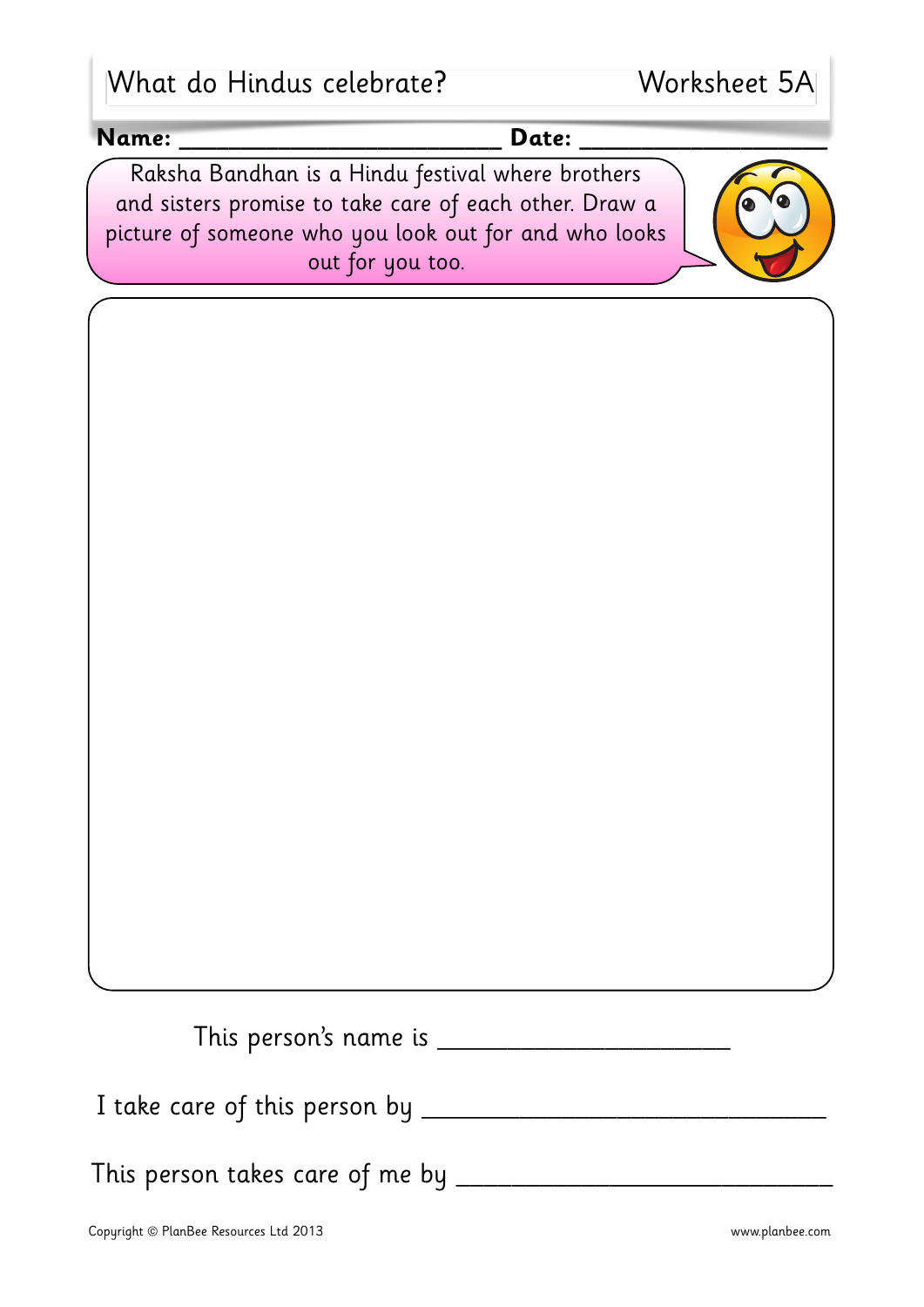| What do Hindus celebrate? |  |  |  |  |
|---------------------------|--|--|--|--|
|---------------------------|--|--|--|--|

| Name: | Date:                                                                                                                                                                |  |
|-------|----------------------------------------------------------------------------------------------------------------------------------------------------------------------|--|
|       | Raksha Bandhan is a Hindu festival where brothers<br>and sisters promise to take care of each other. Draw a<br>picture of someone who you look out for and who looks |  |
|       | out for you too.                                                                                                                                                     |  |
|       |                                                                                                                                                                      |  |
|       |                                                                                                                                                                      |  |
|       |                                                                                                                                                                      |  |
|       |                                                                                                                                                                      |  |
|       |                                                                                                                                                                      |  |
|       |                                                                                                                                                                      |  |
|       |                                                                                                                                                                      |  |
|       |                                                                                                                                                                      |  |
|       |                                                                                                                                                                      |  |
|       |                                                                                                                                                                      |  |
|       |                                                                                                                                                                      |  |
|       |                                                                                                                                                                      |  |
|       |                                                                                                                                                                      |  |
|       |                                                                                                                                                                      |  |
|       |                                                                                                                                                                      |  |
|       |                                                                                                                                                                      |  |
|       |                                                                                                                                                                      |  |

This person takes care of me by \_\_\_\_\_\_\_\_\_\_\_\_\_\_\_\_\_\_\_\_\_\_\_\_\_\_\_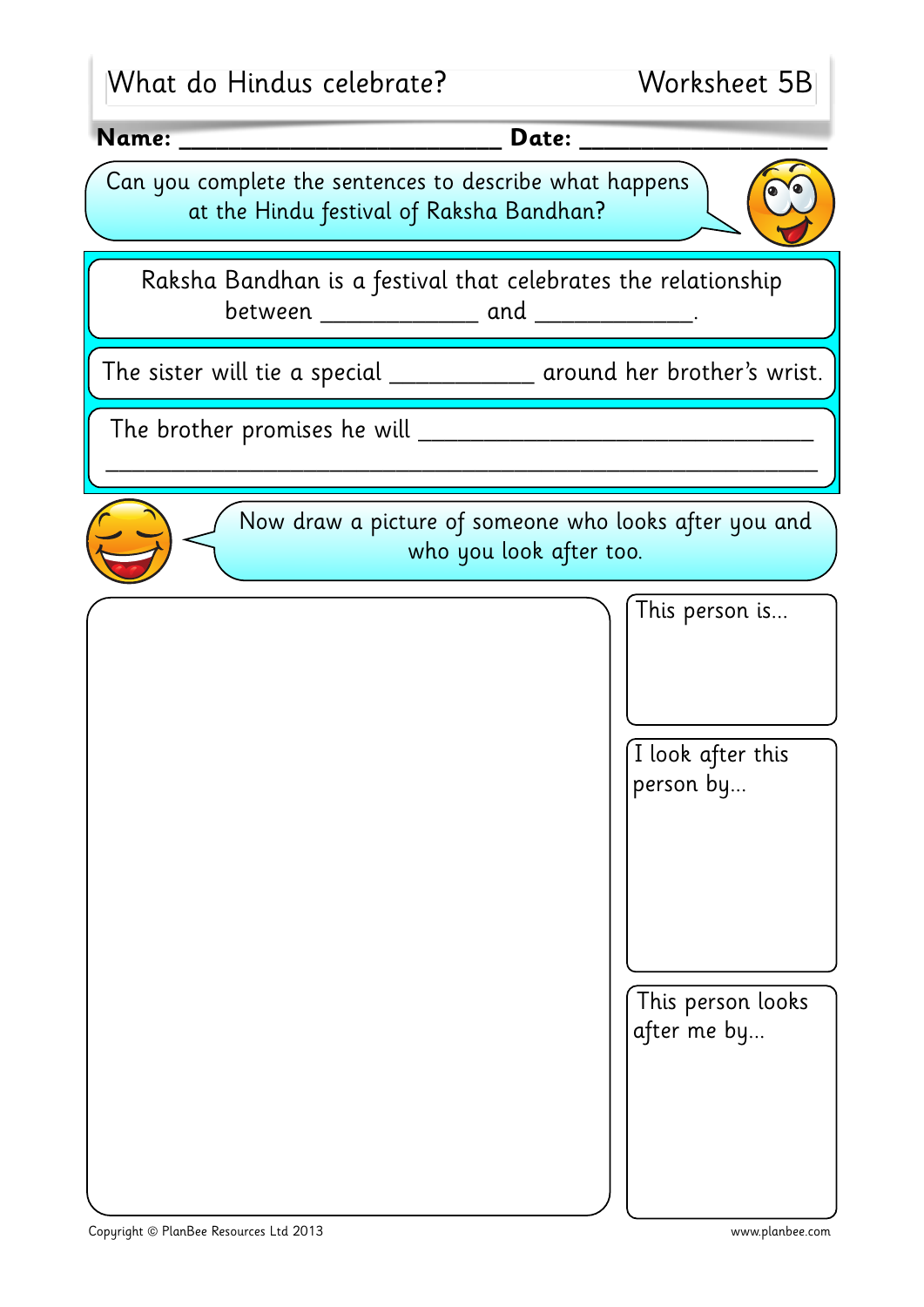| What do Hindus celebrate?                                                                                    | Worksheet 5B                                                                     |
|--------------------------------------------------------------------------------------------------------------|----------------------------------------------------------------------------------|
| Name:                                                                                                        | <b>Date:</b>                                                                     |
| Can you complete the sentences to describe what happens<br>at the Hindu festival of Raksha Bandhan?          |                                                                                  |
| Raksha Bandhan is a festival that celebrates the relationship<br>between _______________ and ______________. |                                                                                  |
| The sister will tie a special _______________ around her brother's wrist.                                    |                                                                                  |
| The brother promises he will _                                                                               |                                                                                  |
|                                                                                                              | Now draw a picture of someone who looks after you and<br>who you look after too. |
|                                                                                                              | This person is                                                                   |
|                                                                                                              | I look after this<br>person by                                                   |
|                                                                                                              | This person looks<br>after me by                                                 |

L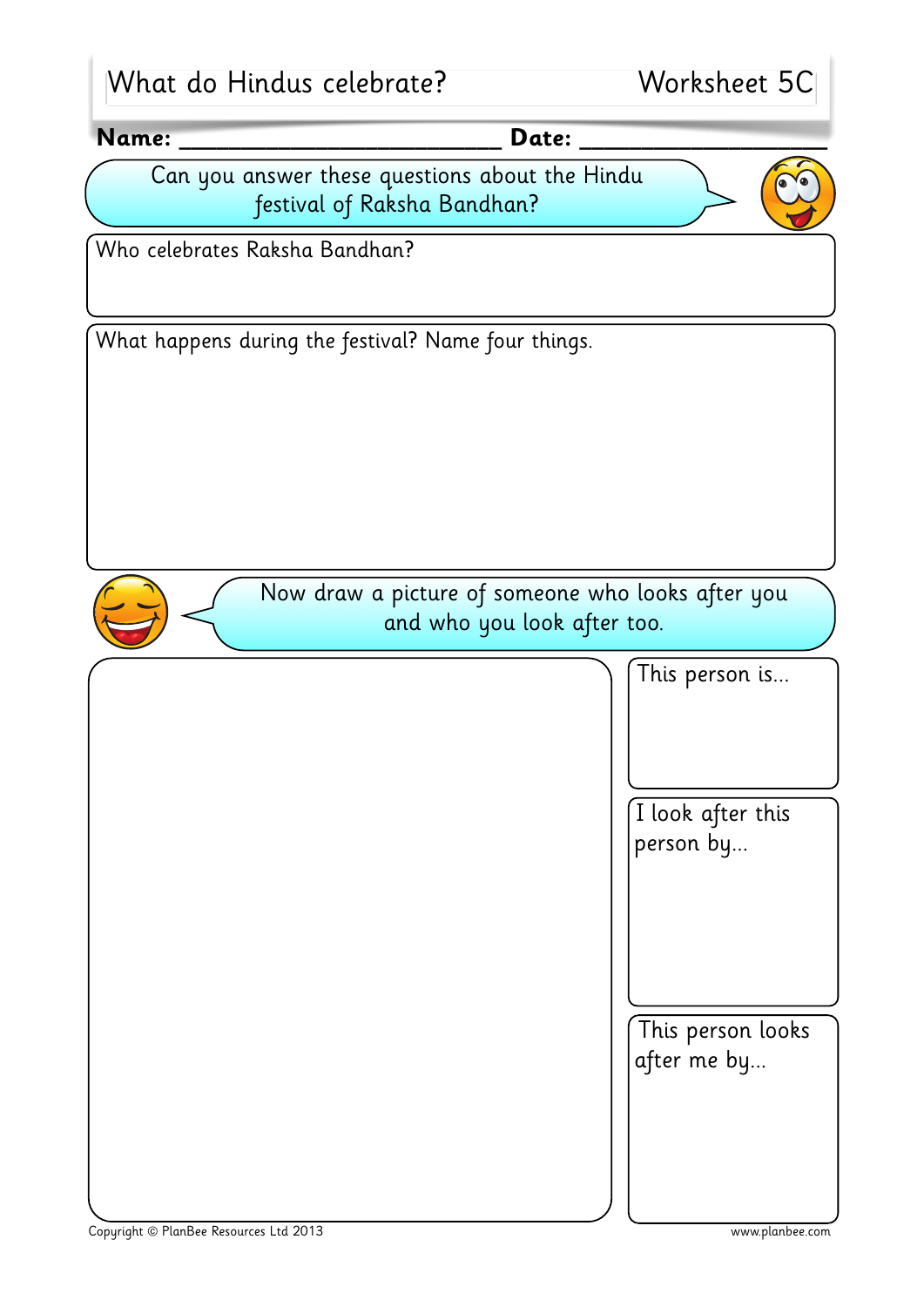| What do Hindus celebrate?                                                     | Worksheet 5C |
|-------------------------------------------------------------------------------|--------------|
| Name:<br>Date:                                                                |              |
| Can you answer these questions about the Hindu<br>festival of Raksha Bandhan? |              |
| Who celebrates Raksha Bandhan?                                                |              |
| What happens during the festival? Name four things.                           |              |



Now draw a picture of someone who looks after you and who you look after too.

This person is...

I look after this person by...

This person looks after me by...